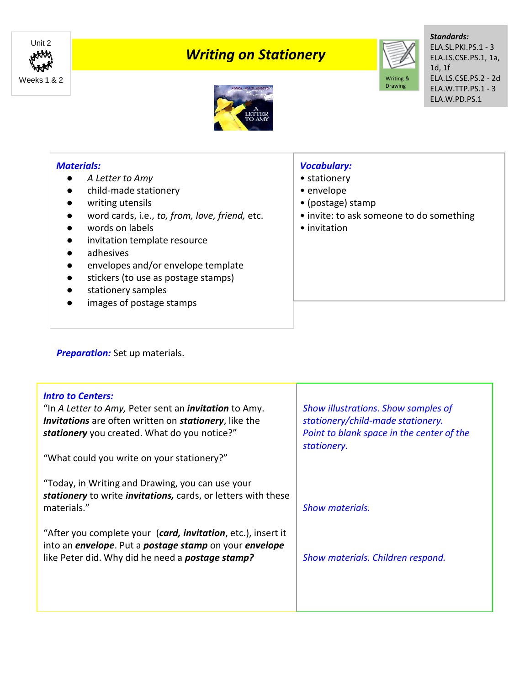

## *Writing on Stationery*



*Standards:* ELA.SL.PKI.PS.1 - 3 ELA.LS.CSE.PS.1, 1a, 1d, 1f ELA.LS.CSE.PS.2 - 2d ELA.W.TTP.PS.1 - 3 ELA.W.PD.PS.1



## *Materials:*

- *A Letter to Amy*
- child-made stationery
- writing utensils
- word cards, i.e., *to, from, love, friend,* etc.
- words on labels
- invitation template resource
- adhesives
- envelopes and/or envelope template
- stickers (to use as postage stamps)
- stationery samples
- images of postage stamps

## *Vocabulary:*

- stationery
- envelope
- (postage) stamp
- invite: to ask someone to do something
- invitation

**Preparation:** Set up materials.

| <b>Intro to Centers:</b><br>"In A Letter to Amy, Peter sent an <i>invitation</i> to Amy.<br>Invitations are often written on stationery, like the<br>stationery you created. What do you notice?"<br>"What could you write on your stationery?" | Show illustrations. Show samples of<br>stationery/child-made stationery.<br>Point to blank space in the center of the<br>stationery. |
|-------------------------------------------------------------------------------------------------------------------------------------------------------------------------------------------------------------------------------------------------|--------------------------------------------------------------------------------------------------------------------------------------|
| "Today, in Writing and Drawing, you can use your<br>stationery to write <i>invitations</i> , cards, or letters with these<br>materials."                                                                                                        | <b>Show materials.</b>                                                                                                               |
| "After you complete your (card, invitation, etc.), insert it<br>into an <i>envelope</i> . Put a <i>postage stamp</i> on your <i>envelope</i><br>like Peter did. Why did he need a <b>postage stamp?</b>                                         | Show materials. Children respond.                                                                                                    |